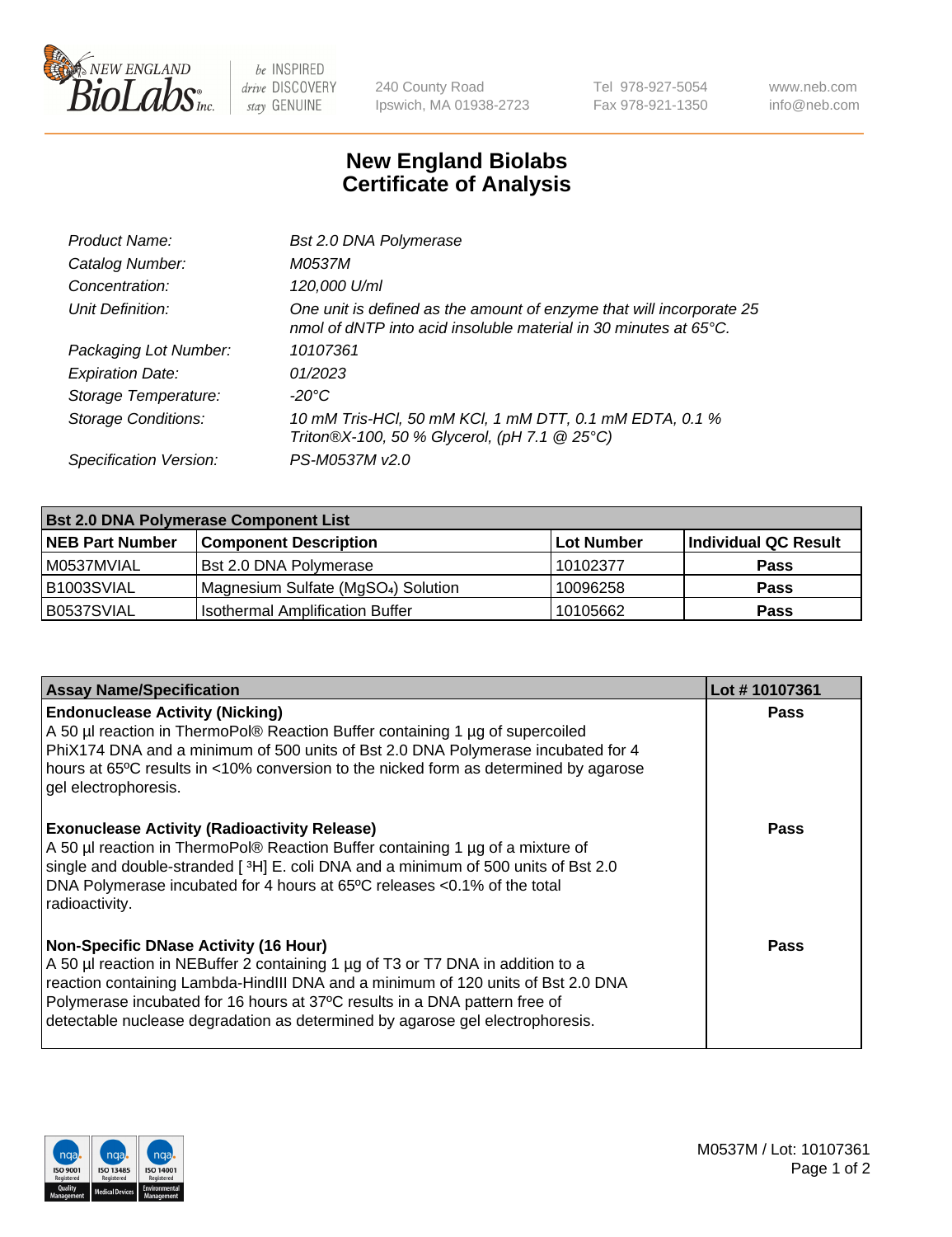

 $be$  INSPIRED drive DISCOVERY stay GENUINE

240 County Road Ipswich, MA 01938-2723 Tel 978-927-5054 Fax 978-921-1350 www.neb.com info@neb.com

## **New England Biolabs Certificate of Analysis**

| Bst 2.0 DNA Polymerase                                                                                                                   |
|------------------------------------------------------------------------------------------------------------------------------------------|
| M0537M                                                                                                                                   |
| 120,000 U/ml                                                                                                                             |
| One unit is defined as the amount of enzyme that will incorporate 25<br>nmol of dNTP into acid insoluble material in 30 minutes at 65°C. |
| 10107361                                                                                                                                 |
| 01/2023                                                                                                                                  |
| -20°C                                                                                                                                    |
| 10 mM Tris-HCl, 50 mM KCl, 1 mM DTT, 0.1 mM EDTA, 0.1 %<br>Triton®X-100, 50 % Glycerol, (pH 7.1 @ 25°C)                                  |
| PS-M0537M v2.0                                                                                                                           |
|                                                                                                                                          |

| <b>Bst 2.0 DNA Polymerase Component List</b> |                                                 |            |                      |  |  |
|----------------------------------------------|-------------------------------------------------|------------|----------------------|--|--|
| <b>NEB Part Number</b>                       | <b>Component Description</b>                    | Lot Number | Individual QC Result |  |  |
| M0537MVIAL                                   | Bst 2.0 DNA Polymerase                          | 10102377   | <b>Pass</b>          |  |  |
| B <sub>1003</sub> SVIAL                      | Magnesium Sulfate (MgSO <sub>4</sub> ) Solution | 10096258   | <b>Pass</b>          |  |  |
| B0537SVIAL                                   | <b>Isothermal Amplification Buffer</b>          | 10105662   | <b>Pass</b>          |  |  |

| <b>Assay Name/Specification</b>                                                                                                                                                                                                                                                                                                                                                    | Lot #10107361 |
|------------------------------------------------------------------------------------------------------------------------------------------------------------------------------------------------------------------------------------------------------------------------------------------------------------------------------------------------------------------------------------|---------------|
| <b>Endonuclease Activity (Nicking)</b><br>A 50 µl reaction in ThermoPol® Reaction Buffer containing 1 µg of supercoiled<br>PhiX174 DNA and a minimum of 500 units of Bst 2.0 DNA Polymerase incubated for 4<br>hours at 65°C results in <10% conversion to the nicked form as determined by agarose<br>gel electrophoresis.                                                        | <b>Pass</b>   |
| <b>Exonuclease Activity (Radioactivity Release)</b><br>A 50 µl reaction in ThermoPol® Reaction Buffer containing 1 µg of a mixture of<br>single and double-stranded [3H] E. coli DNA and a minimum of 500 units of Bst 2.0<br>DNA Polymerase incubated for 4 hours at 65°C releases <0.1% of the total<br>radioactivity.                                                           | <b>Pass</b>   |
| <b>Non-Specific DNase Activity (16 Hour)</b><br>A 50 µl reaction in NEBuffer 2 containing 1 µg of T3 or T7 DNA in addition to a<br>reaction containing Lambda-HindIII DNA and a minimum of 120 units of Bst 2.0 DNA<br>Polymerase incubated for 16 hours at 37°C results in a DNA pattern free of<br>detectable nuclease degradation as determined by agarose gel electrophoresis. | Pass          |